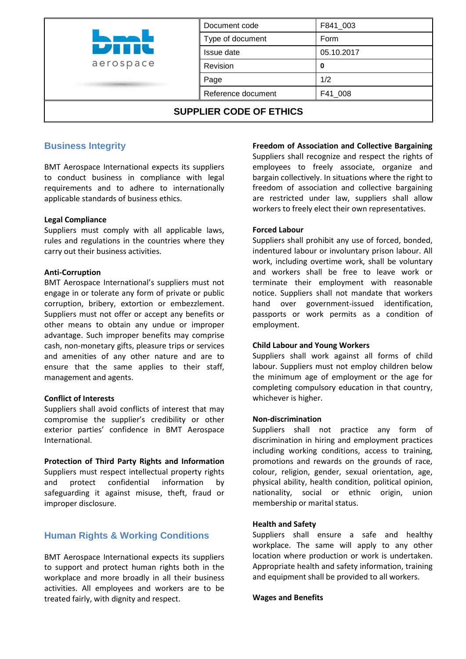|                                | Document code      | F841_003   |  |
|--------------------------------|--------------------|------------|--|
| <b>LATER</b><br>aerospace      | Type of document   | Form       |  |
|                                | Issue date         | 05.10.2017 |  |
|                                | Revision           |            |  |
|                                | Page               | 1/2        |  |
|                                | Reference document | F41_008    |  |
| <b>SUPPLIER CODE OF ETHICS</b> |                    |            |  |

# **Business Integrity**

BMT Aerospace International expects its suppliers to conduct business in compliance with legal requirements and to adhere to internationally applicable standards of business ethics.

#### **Legal Compliance**

Suppliers must comply with all applicable laws, rules and regulations in the countries where they carry out their business activities.

#### **Anti-Corruption**

BMT Aerospace International's suppliers must not engage in or tolerate any form of private or public corruption, bribery, extortion or embezzlement. Suppliers must not offer or accept any benefits or other means to obtain any undue or improper advantage. Such improper benefits may comprise cash, non-monetary gifts, pleasure trips or services and amenities of any other nature and are to ensure that the same applies to their staff, management and agents.

#### **Conflict of Interests**

Suppliers shall avoid conflicts of interest that may compromise the supplier's credibility or other exterior parties' confidence in BMT Aerospace International.

**Protection of Third Party Rights and Information** Suppliers must respect intellectual property rights and protect confidential information by safeguarding it against misuse, theft, fraud or improper disclosure.

## **Human Rights & Working Conditions**

BMT Aerospace International expects its suppliers to support and protect human rights both in the workplace and more broadly in all their business activities. All employees and workers are to be treated fairly, with dignity and respect.

**Freedom of Association and Collective Bargaining**

Suppliers shall recognize and respect the rights of employees to freely associate, organize and bargain collectively. In situations where the right to freedom of association and collective bargaining are restricted under law, suppliers shall allow workers to freely elect their own representatives.

#### **Forced Labour**

Suppliers shall prohibit any use of forced, bonded, indentured labour or involuntary prison labour. All work, including overtime work, shall be voluntary and workers shall be free to leave work or terminate their employment with reasonable notice. Suppliers shall not mandate that workers hand over government-issued identification, passports or work permits as a condition of employment.

#### **Child Labour and Young Workers**

Suppliers shall work against all forms of child labour. Suppliers must not employ children below the minimum age of employment or the age for completing compulsory education in that country, whichever is higher.

#### **Non-discrimination**

Suppliers shall not practice any form of discrimination in hiring and employment practices including working conditions, access to training, promotions and rewards on the grounds of race, colour, religion, gender, sexual orientation, age, physical ability, health condition, political opinion, nationality, social or ethnic origin, union membership or marital status.

#### **Health and Safety**

Suppliers shall ensure a safe and healthy workplace. The same will apply to any other location where production or work is undertaken. Appropriate health and safety information, training and equipment shall be provided to all workers.

#### **Wages and Benefits**